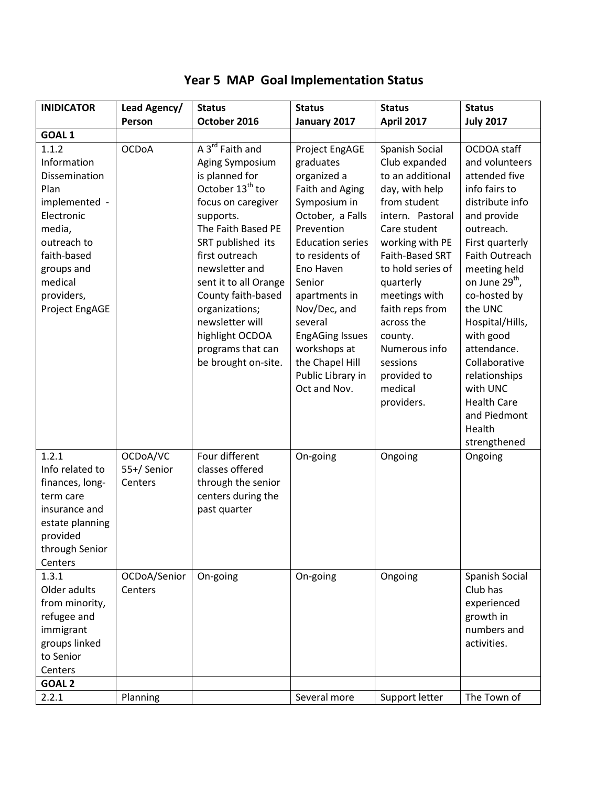| <b>INIDICATOR</b>                                                                                                                                                                                  | Lead Agency/                                      | <b>Status</b>                                                                                                                                                                                                                                                                                                                                                        | <b>Status</b>                                                                                                                                                                                                                                                                                                                      | <b>Status</b>                                                                                                                                                                                                                                                                                                                       | <b>Status</b>                                                                                                                                                                                                                                                                                                                                                                             |
|----------------------------------------------------------------------------------------------------------------------------------------------------------------------------------------------------|---------------------------------------------------|----------------------------------------------------------------------------------------------------------------------------------------------------------------------------------------------------------------------------------------------------------------------------------------------------------------------------------------------------------------------|------------------------------------------------------------------------------------------------------------------------------------------------------------------------------------------------------------------------------------------------------------------------------------------------------------------------------------|-------------------------------------------------------------------------------------------------------------------------------------------------------------------------------------------------------------------------------------------------------------------------------------------------------------------------------------|-------------------------------------------------------------------------------------------------------------------------------------------------------------------------------------------------------------------------------------------------------------------------------------------------------------------------------------------------------------------------------------------|
|                                                                                                                                                                                                    | Person                                            | October 2016                                                                                                                                                                                                                                                                                                                                                         | January 2017                                                                                                                                                                                                                                                                                                                       | <b>April 2017</b>                                                                                                                                                                                                                                                                                                                   | <b>July 2017</b>                                                                                                                                                                                                                                                                                                                                                                          |
| GOAL <sub>1</sub><br>1.1.2<br>Information<br>Dissemination<br>Plan<br>implemented -<br>Electronic<br>media,<br>outreach to<br>faith-based<br>groups and<br>medical<br>providers,<br>Project EngAGE | <b>OCDoA</b>                                      | A 3 <sup>rd</sup> Faith and<br>Aging Symposium<br>is planned for<br>October 13 <sup>th</sup> to<br>focus on caregiver<br>supports.<br>The Faith Based PE<br>SRT published its<br>first outreach<br>newsletter and<br>sent it to all Orange<br>County faith-based<br>organizations;<br>newsletter will<br>highlight OCDOA<br>programs that can<br>be brought on-site. | Project EngAGE<br>graduates<br>organized a<br>Faith and Aging<br>Symposium in<br>October, a Falls<br>Prevention<br><b>Education series</b><br>to residents of<br>Eno Haven<br>Senior<br>apartments in<br>Nov/Dec, and<br>several<br><b>EngAGing Issues</b><br>workshops at<br>the Chapel Hill<br>Public Library in<br>Oct and Nov. | Spanish Social<br>Club expanded<br>to an additional<br>day, with help<br>from student<br>intern. Pastoral<br>Care student<br>working with PE<br>Faith-Based SRT<br>to hold series of<br>quarterly<br>meetings with<br>faith reps from<br>across the<br>county.<br>Numerous info<br>sessions<br>provided to<br>medical<br>providers. | OCDOA staff<br>and volunteers<br>attended five<br>info fairs to<br>distribute info<br>and provide<br>outreach.<br>First quarterly<br>Faith Outreach<br>meeting held<br>on June 29 <sup>th</sup> ,<br>co-hosted by<br>the UNC<br>Hospital/Hills,<br>with good<br>attendance.<br>Collaborative<br>relationships<br>with UNC<br><b>Health Care</b><br>and Piedmont<br>Health<br>strengthened |
| 1.2.1<br>Info related to<br>finances, long-<br>term care<br>insurance and<br>estate planning<br>provided<br>through Senior<br>Centers<br>1.3.1                                                     | OCDoA/VC<br>55+/Senior<br>Centers<br>OCDoA/Senior | Four different<br>classes offered<br>through the senior<br>centers during the<br>past quarter<br>On-going                                                                                                                                                                                                                                                            | On-going<br>On-going                                                                                                                                                                                                                                                                                                               | Ongoing<br>Ongoing                                                                                                                                                                                                                                                                                                                  | Ongoing<br>Spanish Social                                                                                                                                                                                                                                                                                                                                                                 |
| Older adults<br>from minority,<br>refugee and<br>immigrant<br>groups linked<br>to Senior<br>Centers<br>GOAL <sub>2</sub>                                                                           | Centers                                           |                                                                                                                                                                                                                                                                                                                                                                      |                                                                                                                                                                                                                                                                                                                                    |                                                                                                                                                                                                                                                                                                                                     | Club has<br>experienced<br>growth in<br>numbers and<br>activities.                                                                                                                                                                                                                                                                                                                        |
| 2.2.1                                                                                                                                                                                              | Planning                                          |                                                                                                                                                                                                                                                                                                                                                                      | Several more                                                                                                                                                                                                                                                                                                                       | Support letter                                                                                                                                                                                                                                                                                                                      | The Town of                                                                                                                                                                                                                                                                                                                                                                               |

## **Year 5 MAP Goal Implementation Status**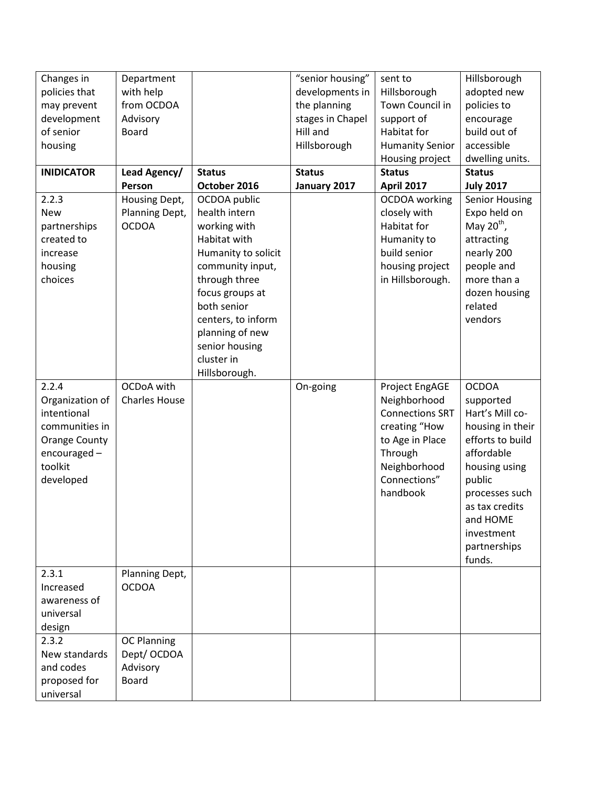| Changes in           | Department           |                     | "senior housing" | sent to                | Hillsborough     |
|----------------------|----------------------|---------------------|------------------|------------------------|------------------|
| policies that        | with help            |                     | developments in  | Hillsborough           | adopted new      |
| may prevent          | from OCDOA           |                     | the planning     | Town Council in        | policies to      |
| development          | Advisory             |                     | stages in Chapel | support of             | encourage        |
| of senior            | <b>Board</b>         |                     | Hill and         | Habitat for            | build out of     |
| housing              |                      |                     | Hillsborough     | <b>Humanity Senior</b> | accessible       |
|                      |                      |                     |                  | Housing project        | dwelling units.  |
| <b>INIDICATOR</b>    | Lead Agency/         | <b>Status</b>       | <b>Status</b>    | <b>Status</b>          | <b>Status</b>    |
|                      | Person               | October 2016        | January 2017     | <b>April 2017</b>      | <b>July 2017</b> |
| 2.2.3                | Housing Dept,        | OCDOA public        |                  | OCDOA working          | Senior Housing   |
| <b>New</b>           | Planning Dept,       | health intern       |                  | closely with           | Expo held on     |
| partnerships         | <b>OCDOA</b>         | working with        |                  | Habitat for            | May $20^{th}$ ,  |
| created to           |                      | Habitat with        |                  | Humanity to            | attracting       |
| increase             |                      | Humanity to solicit |                  | build senior           | nearly 200       |
| housing              |                      | community input,    |                  | housing project        | people and       |
| choices              |                      | through three       |                  | in Hillsborough.       | more than a      |
|                      |                      | focus groups at     |                  |                        | dozen housing    |
|                      |                      | both senior         |                  |                        | related          |
|                      |                      | centers, to inform  |                  |                        | vendors          |
|                      |                      | planning of new     |                  |                        |                  |
|                      |                      | senior housing      |                  |                        |                  |
|                      |                      | cluster in          |                  |                        |                  |
|                      |                      | Hillsborough.       |                  |                        |                  |
| 2.2.4                | OCDoA with           |                     | On-going         | Project EngAGE         | <b>OCDOA</b>     |
| Organization of      | <b>Charles House</b> |                     |                  | Neighborhood           | supported        |
| intentional          |                      |                     |                  | <b>Connections SRT</b> | Hart's Mill co-  |
| communities in       |                      |                     |                  | creating "How          | housing in their |
| <b>Orange County</b> |                      |                     |                  | to Age in Place        | efforts to build |
| encouraged-          |                      |                     |                  | Through                | affordable       |
| toolkit              |                      |                     |                  | Neighborhood           | housing using    |
| developed            |                      |                     |                  | Connections"           | public           |
|                      |                      |                     |                  | handbook               | processes such   |
|                      |                      |                     |                  |                        | as tax credits   |
|                      |                      |                     |                  |                        | and HOME         |
|                      |                      |                     |                  |                        | investment       |
|                      |                      |                     |                  |                        | partnerships     |
|                      |                      |                     |                  |                        | funds.           |
| 2.3.1                | Planning Dept,       |                     |                  |                        |                  |
| Increased            | <b>OCDOA</b>         |                     |                  |                        |                  |
| awareness of         |                      |                     |                  |                        |                  |
| universal            |                      |                     |                  |                        |                  |
| design               |                      |                     |                  |                        |                  |
| 2.3.2                | <b>OC Planning</b>   |                     |                  |                        |                  |
| New standards        | Dept/ OCDOA          |                     |                  |                        |                  |
| and codes            | Advisory             |                     |                  |                        |                  |
| proposed for         | <b>Board</b>         |                     |                  |                        |                  |
| universal            |                      |                     |                  |                        |                  |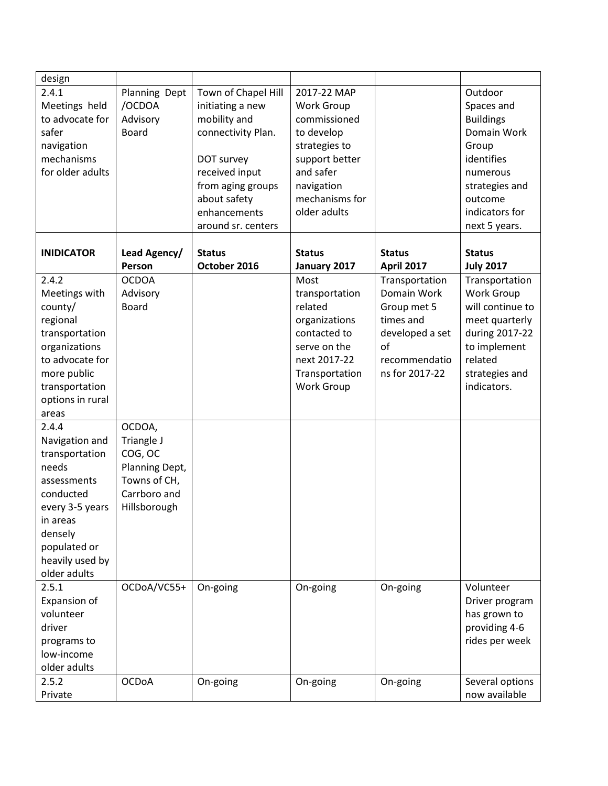| design            |                |                     |                   |                   |                  |
|-------------------|----------------|---------------------|-------------------|-------------------|------------------|
| 2.4.1             | Planning Dept  | Town of Chapel Hill | 2017-22 MAP       |                   | Outdoor          |
| Meetings held     | /OCDOA         | initiating a new    | Work Group        |                   | Spaces and       |
| to advocate for   | Advisory       | mobility and        | commissioned      |                   | <b>Buildings</b> |
| safer             | <b>Board</b>   | connectivity Plan.  | to develop        |                   | Domain Work      |
| navigation        |                |                     | strategies to     |                   | Group            |
| mechanisms        |                | DOT survey          | support better    |                   | identifies       |
| for older adults  |                | received input      | and safer         |                   | numerous         |
|                   |                | from aging groups   | navigation        |                   | strategies and   |
|                   |                | about safety        | mechanisms for    |                   | outcome          |
|                   |                | enhancements        | older adults      |                   | indicators for   |
|                   |                | around sr. centers  |                   |                   | next 5 years.    |
|                   |                |                     |                   |                   |                  |
| <b>INIDICATOR</b> | Lead Agency/   | <b>Status</b>       | <b>Status</b>     | <b>Status</b>     | <b>Status</b>    |
|                   | Person         | October 2016        | January 2017      | <b>April 2017</b> | <b>July 2017</b> |
| 2.4.2             | <b>OCDOA</b>   |                     | Most              | Transportation    | Transportation   |
| Meetings with     | Advisory       |                     | transportation    | Domain Work       | Work Group       |
| county/           | <b>Board</b>   |                     | related           | Group met 5       | will continue to |
| regional          |                |                     | organizations     | times and         | meet quarterly   |
| transportation    |                |                     | contacted to      | developed a set   | during 2017-22   |
| organizations     |                |                     | serve on the      | of                | to implement     |
| to advocate for   |                |                     | next 2017-22      | recommendatio     | related          |
|                   |                |                     |                   | ns for 2017-22    |                  |
| more public       |                |                     | Transportation    |                   | strategies and   |
| transportation    |                |                     | <b>Work Group</b> |                   | indicators.      |
| options in rural  |                |                     |                   |                   |                  |
| areas             |                |                     |                   |                   |                  |
| 2.4.4             | OCDOA,         |                     |                   |                   |                  |
| Navigation and    | Triangle J     |                     |                   |                   |                  |
| transportation    | COG, OC        |                     |                   |                   |                  |
| needs             | Planning Dept, |                     |                   |                   |                  |
| assessments       | Towns of CH,   |                     |                   |                   |                  |
| conducted         | Carrboro and   |                     |                   |                   |                  |
| every 3-5 years   | Hillsborough   |                     |                   |                   |                  |
| in areas          |                |                     |                   |                   |                  |
| densely           |                |                     |                   |                   |                  |
| populated or      |                |                     |                   |                   |                  |
| heavily used by   |                |                     |                   |                   |                  |
| older adults      |                |                     |                   |                   |                  |
| 2.5.1             | OCDoA/VC55+    | On-going            | On-going          | On-going          | Volunteer        |
| Expansion of      |                |                     |                   |                   | Driver program   |
| volunteer         |                |                     |                   |                   | has grown to     |
| driver            |                |                     |                   |                   | providing 4-6    |
| programs to       |                |                     |                   |                   | rides per week   |
| low-income        |                |                     |                   |                   |                  |
| older adults      |                |                     |                   |                   |                  |
| 2.5.2             | <b>OCDoA</b>   | On-going            | On-going          | On-going          | Several options  |
| Private           |                |                     |                   |                   | now available    |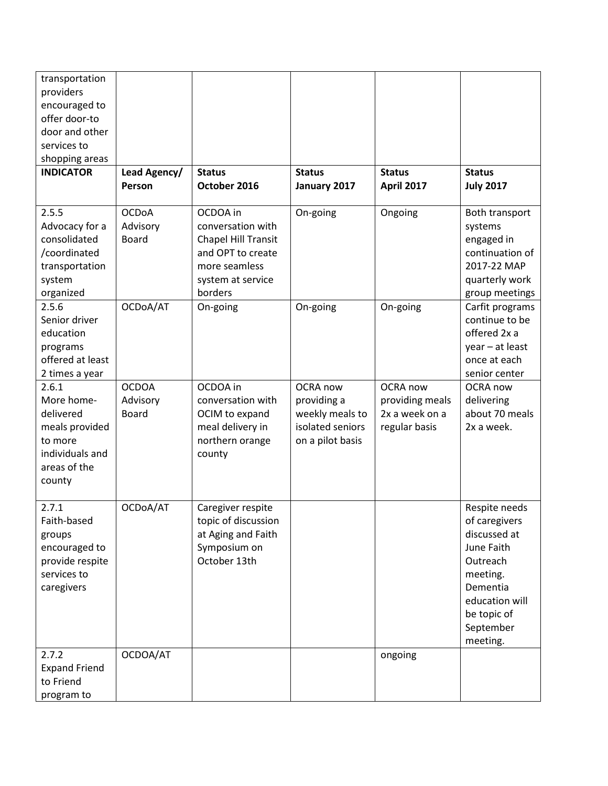| transportation       |              |                     |                  |                   |                  |
|----------------------|--------------|---------------------|------------------|-------------------|------------------|
| providers            |              |                     |                  |                   |                  |
| encouraged to        |              |                     |                  |                   |                  |
| offer door-to        |              |                     |                  |                   |                  |
| door and other       |              |                     |                  |                   |                  |
| services to          |              |                     |                  |                   |                  |
| shopping areas       |              |                     |                  |                   |                  |
| <b>INDICATOR</b>     | Lead Agency/ | <b>Status</b>       | <b>Status</b>    | <b>Status</b>     | <b>Status</b>    |
|                      | Person       | October 2016        | January 2017     | <b>April 2017</b> | <b>July 2017</b> |
| 2.5.5                | <b>OCDoA</b> | OCDOA in            | On-going         | Ongoing           | Both transport   |
| Advocacy for a       | Advisory     | conversation with   |                  |                   | systems          |
| consolidated         | <b>Board</b> | Chapel Hill Transit |                  |                   | engaged in       |
| /coordinated         |              | and OPT to create   |                  |                   | continuation of  |
| transportation       |              | more seamless       |                  |                   | 2017-22 MAP      |
| system               |              | system at service   |                  |                   | quarterly work   |
| organized            |              | borders             |                  |                   | group meetings   |
| 2.5.6                | OCDoA/AT     | On-going            | On-going         | On-going          | Carfit programs  |
| Senior driver        |              |                     |                  |                   | continue to be   |
| education            |              |                     |                  |                   | offered 2x a     |
| programs             |              |                     |                  |                   | year - at least  |
| offered at least     |              |                     |                  |                   | once at each     |
| 2 times a year       |              |                     |                  |                   | senior center    |
| 2.6.1                | <b>OCDOA</b> | OCDOA in            | OCRA now         | OCRA now          | <b>OCRA</b> now  |
| More home-           | Advisory     | conversation with   | providing a      | providing meals   | delivering       |
| delivered            | <b>Board</b> | OCIM to expand      | weekly meals to  | 2x a week on a    | about 70 meals   |
| meals provided       |              | meal delivery in    | isolated seniors | regular basis     | 2x a week.       |
| to more              |              | northern orange     | on a pilot basis |                   |                  |
| individuals and      |              | county              |                  |                   |                  |
| areas of the         |              |                     |                  |                   |                  |
| county               |              |                     |                  |                   |                  |
|                      |              |                     |                  |                   |                  |
| 2.7.1                | OCDoA/AT     | Caregiver respite   |                  |                   | Respite needs    |
| Faith-based          |              | topic of discussion |                  |                   | of caregivers    |
| groups               |              | at Aging and Faith  |                  |                   | discussed at     |
| encouraged to        |              | Symposium on        |                  |                   | June Faith       |
| provide respite      |              | October 13th        |                  |                   | Outreach         |
| services to          |              |                     |                  |                   | meeting.         |
| caregivers           |              |                     |                  |                   | Dementia         |
|                      |              |                     |                  |                   | education will   |
|                      |              |                     |                  |                   | be topic of      |
|                      |              |                     |                  |                   | September        |
|                      |              |                     |                  |                   | meeting.         |
| 2.7.2                | OCDOA/AT     |                     |                  | ongoing           |                  |
| <b>Expand Friend</b> |              |                     |                  |                   |                  |
| to Friend            |              |                     |                  |                   |                  |
| program to           |              |                     |                  |                   |                  |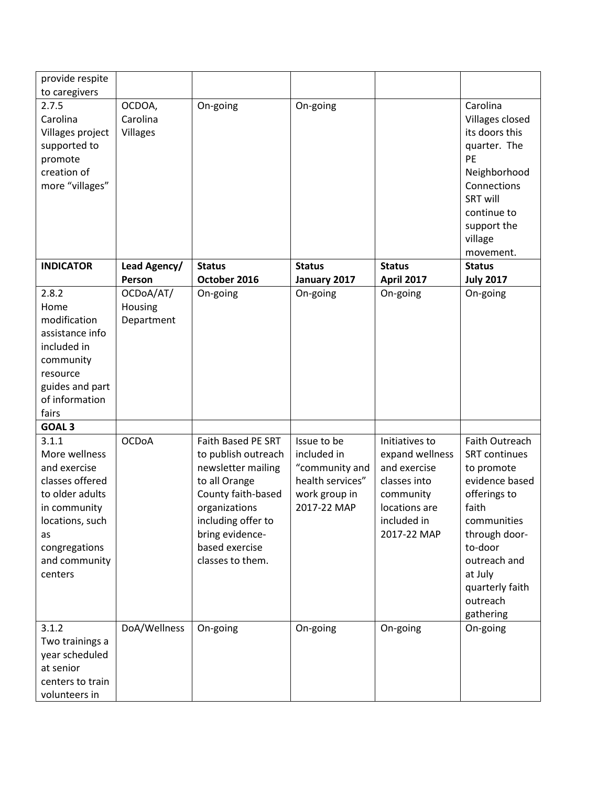| provide respite                                                                                                                                                    |                                       |                                                                                                                                                                                                        |                                                                                                  |                                                                                                                               |                                                                                                                                                                                                                   |
|--------------------------------------------------------------------------------------------------------------------------------------------------------------------|---------------------------------------|--------------------------------------------------------------------------------------------------------------------------------------------------------------------------------------------------------|--------------------------------------------------------------------------------------------------|-------------------------------------------------------------------------------------------------------------------------------|-------------------------------------------------------------------------------------------------------------------------------------------------------------------------------------------------------------------|
| to caregivers                                                                                                                                                      |                                       |                                                                                                                                                                                                        |                                                                                                  |                                                                                                                               |                                                                                                                                                                                                                   |
| 2.7.5<br>Carolina<br>Villages project<br>supported to<br>promote<br>creation of<br>more "villages"                                                                 | OCDOA,<br>Carolina<br><b>Villages</b> | On-going                                                                                                                                                                                               | On-going                                                                                         |                                                                                                                               | Carolina<br>Villages closed<br>its doors this<br>quarter. The<br>PE<br>Neighborhood<br>Connections<br><b>SRT will</b><br>continue to<br>support the<br>village<br>movement.                                       |
| <b>INDICATOR</b>                                                                                                                                                   | Lead Agency/                          | <b>Status</b>                                                                                                                                                                                          | <b>Status</b>                                                                                    | <b>Status</b>                                                                                                                 | <b>Status</b>                                                                                                                                                                                                     |
|                                                                                                                                                                    | Person                                | October 2016                                                                                                                                                                                           | January 2017                                                                                     | <b>April 2017</b>                                                                                                             | <b>July 2017</b>                                                                                                                                                                                                  |
| 2.8.2<br>Home<br>modification<br>assistance info<br>included in<br>community<br>resource<br>guides and part<br>of information<br>fairs                             | OCDoA/AT/<br>Housing<br>Department    | On-going                                                                                                                                                                                               | On-going                                                                                         | On-going                                                                                                                      | On-going                                                                                                                                                                                                          |
| <b>GOAL 3</b>                                                                                                                                                      |                                       |                                                                                                                                                                                                        |                                                                                                  |                                                                                                                               |                                                                                                                                                                                                                   |
| 3.1.1<br>More wellness<br>and exercise<br>classes offered<br>to older adults<br>in community<br>locations, such<br>as<br>congregations<br>and community<br>centers | <b>OCDoA</b>                          | Faith Based PE SRT<br>to publish outreach<br>newsletter mailing<br>to all Orange<br>County faith-based<br>organizations<br>including offer to<br>bring evidence-<br>based exercise<br>classes to them. | Issue to be<br>included in<br>"community and<br>health services"<br>work group in<br>2017-22 MAP | Initiatives to<br>expand wellness<br>and exercise<br>classes into<br>community<br>locations are<br>included in<br>2017-22 MAP | Faith Outreach<br><b>SRT</b> continues<br>to promote<br>evidence based<br>offerings to<br>faith<br>communities<br>through door-<br>to-door<br>outreach and<br>at July<br>quarterly faith<br>outreach<br>gathering |
| 3.1.2<br>Two trainings a<br>year scheduled<br>at senior<br>centers to train<br>volunteers in                                                                       | DoA/Wellness                          | On-going                                                                                                                                                                                               | On-going                                                                                         | On-going                                                                                                                      | On-going                                                                                                                                                                                                          |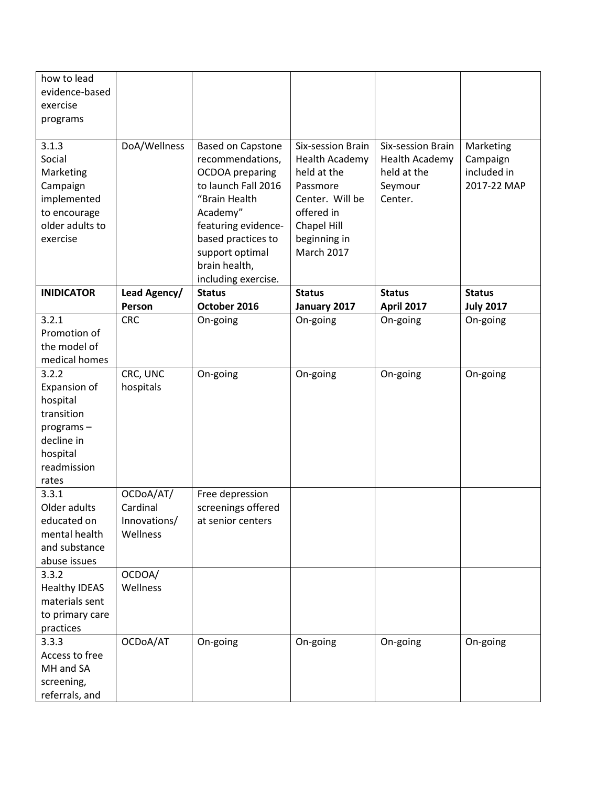| how to lead<br>evidence-based<br>exercise<br>programs                                                          |                                                   |                                                                                                                                                                                                                                    |                                                                                                                                                            |                                                                          |                                                     |
|----------------------------------------------------------------------------------------------------------------|---------------------------------------------------|------------------------------------------------------------------------------------------------------------------------------------------------------------------------------------------------------------------------------------|------------------------------------------------------------------------------------------------------------------------------------------------------------|--------------------------------------------------------------------------|-----------------------------------------------------|
| 3.1.3<br>Social<br>Marketing<br>Campaign<br>implemented<br>to encourage<br>older adults to<br>exercise         | DoA/Wellness                                      | <b>Based on Capstone</b><br>recommendations,<br><b>OCDOA</b> preparing<br>to launch Fall 2016<br>"Brain Health<br>Academy"<br>featuring evidence-<br>based practices to<br>support optimal<br>brain health,<br>including exercise. | Six-session Brain<br><b>Health Academy</b><br>held at the<br>Passmore<br>Center. Will be<br>offered in<br>Chapel Hill<br>beginning in<br><b>March 2017</b> | Six-session Brain<br>Health Academy<br>held at the<br>Seymour<br>Center. | Marketing<br>Campaign<br>included in<br>2017-22 MAP |
| <b>INIDICATOR</b>                                                                                              | Lead Agency/<br>Person                            | <b>Status</b><br>October 2016                                                                                                                                                                                                      | <b>Status</b><br>January 2017                                                                                                                              | <b>Status</b><br><b>April 2017</b>                                       | <b>Status</b><br><b>July 2017</b>                   |
| 3.2.1<br>Promotion of<br>the model of<br>medical homes                                                         | <b>CRC</b>                                        | On-going                                                                                                                                                                                                                           | On-going                                                                                                                                                   | On-going                                                                 | On-going                                            |
| 3.2.2<br>Expansion of<br>hospital<br>transition<br>programs-<br>decline in<br>hospital<br>readmission<br>rates | CRC, UNC<br>hospitals                             | On-going                                                                                                                                                                                                                           | On-going                                                                                                                                                   | On-going                                                                 | On-going                                            |
| 3.3.1<br>Older adults<br>educated on<br>mental health<br>and substance<br>abuse issues                         | OCDoA/AT/<br>Cardinal<br>Innovations/<br>Wellness | Free depression<br>screenings offered<br>at senior centers                                                                                                                                                                         |                                                                                                                                                            |                                                                          |                                                     |
| 3.3.2<br><b>Healthy IDEAS</b><br>materials sent<br>to primary care<br>practices                                | OCDOA/<br>Wellness                                |                                                                                                                                                                                                                                    |                                                                                                                                                            |                                                                          |                                                     |
| 3.3.3<br>Access to free<br>MH and SA<br>screening,<br>referrals, and                                           | OCDoA/AT                                          | On-going                                                                                                                                                                                                                           | On-going                                                                                                                                                   | On-going                                                                 | On-going                                            |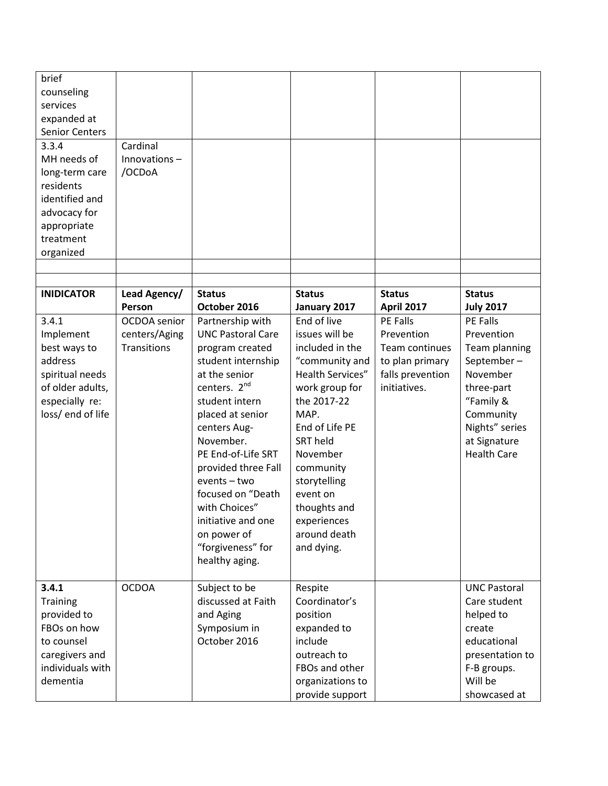| brief<br>counseling<br>services<br>expanded at<br><b>Senior Centers</b>                                                        |                                                     |                                                                                                                                                                                                                                                                                                                                                                                      |                                                                                                                                                                                                                                                                                 |                                                                                                        |                                                                                                                                                                   |
|--------------------------------------------------------------------------------------------------------------------------------|-----------------------------------------------------|--------------------------------------------------------------------------------------------------------------------------------------------------------------------------------------------------------------------------------------------------------------------------------------------------------------------------------------------------------------------------------------|---------------------------------------------------------------------------------------------------------------------------------------------------------------------------------------------------------------------------------------------------------------------------------|--------------------------------------------------------------------------------------------------------|-------------------------------------------------------------------------------------------------------------------------------------------------------------------|
| 3.3.4<br>MH needs of<br>long-term care<br>residents<br>identified and<br>advocacy for<br>appropriate<br>treatment<br>organized | Cardinal<br>Innovations-<br>/OCDoA                  |                                                                                                                                                                                                                                                                                                                                                                                      |                                                                                                                                                                                                                                                                                 |                                                                                                        |                                                                                                                                                                   |
| <b>INIDICATOR</b>                                                                                                              | Lead Agency/<br>Person                              | <b>Status</b><br>October 2016                                                                                                                                                                                                                                                                                                                                                        | <b>Status</b><br>January 2017                                                                                                                                                                                                                                                   | <b>Status</b><br><b>April 2017</b>                                                                     | <b>Status</b><br><b>July 2017</b>                                                                                                                                 |
| 3.4.1<br>Implement<br>best ways to<br>address<br>spiritual needs<br>of older adults,<br>especially re:<br>loss/end of life     | OCDOA senior<br>centers/Aging<br><b>Transitions</b> | Partnership with<br><b>UNC Pastoral Care</b><br>program created<br>student internship<br>at the senior<br>centers. 2 <sup>nd</sup><br>student intern<br>placed at senior<br>centers Aug-<br>November.<br>PE End-of-Life SRT<br>provided three Fall<br>events - two<br>focused on "Death<br>with Choices"<br>initiative and one<br>on power of<br>"forgiveness" for<br>healthy aging. | End of live<br>issues will be<br>included in the<br>"community and<br>Health Services"<br>work group for<br>the 2017-22<br>MAP.<br>End of Life PE<br>SRT held<br>November<br>community<br>storytelling<br>event on<br>thoughts and<br>experiences<br>around death<br>and dying. | <b>PE Falls</b><br>Prevention<br>Team continues<br>to plan primary<br>falls prevention<br>initiatives. | PE Falls<br>Prevention<br>Team planning<br>September-<br>November<br>three-part<br>"Family &<br>Community<br>Nights" series<br>at Signature<br><b>Health Care</b> |
| 3.4.1<br>Training<br>provided to<br>FBOs on how<br>to counsel<br>caregivers and<br>individuals with<br>dementia                | <b>OCDOA</b>                                        | Subject to be<br>discussed at Faith<br>and Aging<br>Symposium in<br>October 2016                                                                                                                                                                                                                                                                                                     | Respite<br>Coordinator's<br>position<br>expanded to<br>include<br>outreach to<br>FBOs and other<br>organizations to<br>provide support                                                                                                                                          |                                                                                                        | <b>UNC Pastoral</b><br>Care student<br>helped to<br>create<br>educational<br>presentation to<br>F-B groups.<br>Will be<br>showcased at                            |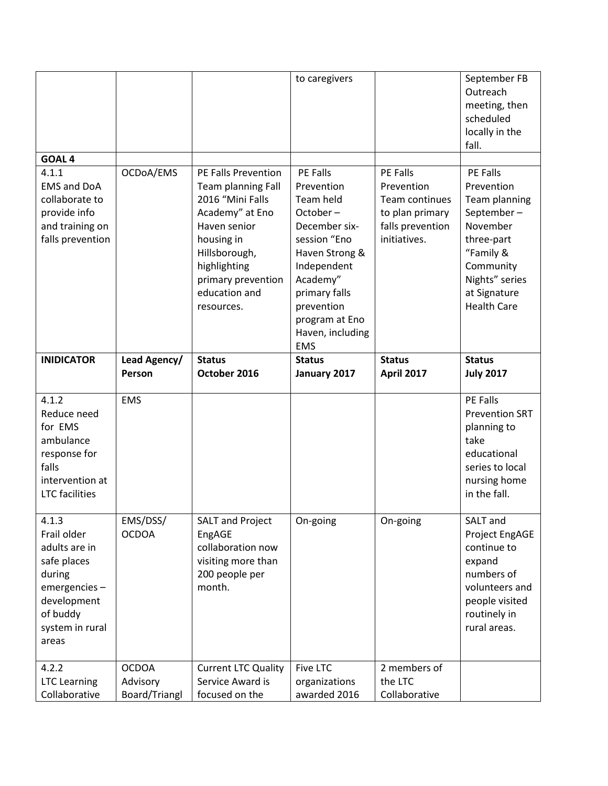|                                                                                                                                       |                                           |                                                                                                                                                                                                      | to caregivers                                                                                                                                                                                                    |                                                                                                 | September FB<br>Outreach<br>meeting, then<br>scheduled<br>locally in the<br>fall.                                                                                        |
|---------------------------------------------------------------------------------------------------------------------------------------|-------------------------------------------|------------------------------------------------------------------------------------------------------------------------------------------------------------------------------------------------------|------------------------------------------------------------------------------------------------------------------------------------------------------------------------------------------------------------------|-------------------------------------------------------------------------------------------------|--------------------------------------------------------------------------------------------------------------------------------------------------------------------------|
| <b>GOAL4</b>                                                                                                                          |                                           |                                                                                                                                                                                                      |                                                                                                                                                                                                                  |                                                                                                 |                                                                                                                                                                          |
| 4.1.1<br><b>EMS and DoA</b><br>collaborate to<br>provide info<br>and training on<br>falls prevention                                  | OCDoA/EMS                                 | PE Falls Prevention<br>Team planning Fall<br>2016 "Mini Falls<br>Academy" at Eno<br>Haven senior<br>housing in<br>Hillsborough,<br>highlighting<br>primary prevention<br>education and<br>resources. | PE Falls<br>Prevention<br>Team held<br>October-<br>December six-<br>session "Eno<br>Haven Strong &<br>Independent<br>Academy"<br>primary falls<br>prevention<br>program at Eno<br>Haven, including<br><b>EMS</b> | PE Falls<br>Prevention<br>Team continues<br>to plan primary<br>falls prevention<br>initiatives. | <b>PE Falls</b><br>Prevention<br>Team planning<br>September-<br>November<br>three-part<br>"Family &<br>Community<br>Nights" series<br>at Signature<br><b>Health Care</b> |
| <b>INIDICATOR</b>                                                                                                                     | Lead Agency/<br>Person                    | <b>Status</b><br>October 2016                                                                                                                                                                        | <b>Status</b><br>January 2017                                                                                                                                                                                    | <b>Status</b><br><b>April 2017</b>                                                              | <b>Status</b><br><b>July 2017</b>                                                                                                                                        |
| 4.1.2<br>Reduce need<br>for EMS<br>ambulance<br>response for<br>falls<br>intervention at<br><b>LTC</b> facilities                     | <b>EMS</b>                                |                                                                                                                                                                                                      |                                                                                                                                                                                                                  |                                                                                                 | PE Falls<br><b>Prevention SRT</b><br>planning to<br>take<br>educational<br>series to local<br>nursing home<br>in the fall.                                               |
| 4.1.3<br>Frail older<br>adults are in<br>safe places<br>during<br>emergencies-<br>development<br>of buddy<br>system in rural<br>areas | EMS/DSS/<br><b>OCDOA</b>                  | <b>SALT and Project</b><br>EngAGE<br>collaboration now<br>visiting more than<br>200 people per<br>month.                                                                                             | On-going                                                                                                                                                                                                         | On-going                                                                                        | SALT and<br>Project EngAGE<br>continue to<br>expand<br>numbers of<br>volunteers and<br>people visited<br>routinely in<br>rural areas.                                    |
| 4.2.2<br><b>LTC Learning</b><br>Collaborative                                                                                         | <b>OCDOA</b><br>Advisory<br>Board/Triangl | <b>Current LTC Quality</b><br>Service Award is<br>focused on the                                                                                                                                     | <b>Five LTC</b><br>organizations<br>awarded 2016                                                                                                                                                                 | 2 members of<br>the LTC<br>Collaborative                                                        |                                                                                                                                                                          |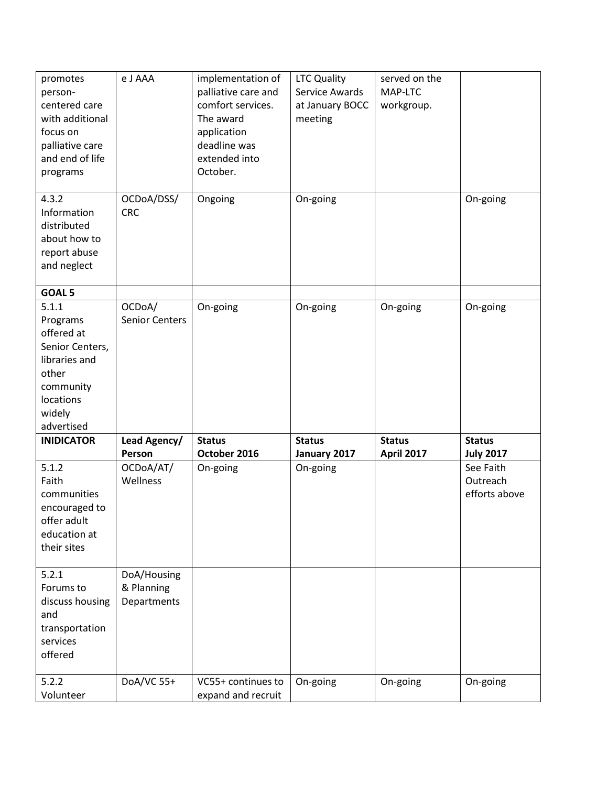| promotes<br>person-<br>centered care<br>with additional<br>focus on<br>palliative care<br>and end of life<br>programs          | e J AAA                                  | implementation of<br>palliative care and<br>comfort services.<br>The award<br>application<br>deadline was<br>extended into<br>October. | <b>LTC Quality</b><br>Service Awards<br>at January BOCC<br>meeting | served on the<br>MAP-LTC<br>workgroup. |                                        |
|--------------------------------------------------------------------------------------------------------------------------------|------------------------------------------|----------------------------------------------------------------------------------------------------------------------------------------|--------------------------------------------------------------------|----------------------------------------|----------------------------------------|
| 4.3.2<br>Information<br>distributed<br>about how to<br>report abuse<br>and neglect                                             | OCDoA/DSS/<br><b>CRC</b>                 | Ongoing                                                                                                                                | On-going                                                           |                                        | On-going                               |
| GOAL 5                                                                                                                         |                                          |                                                                                                                                        |                                                                    |                                        |                                        |
| 5.1.1<br>Programs<br>offered at<br>Senior Centers,<br>libraries and<br>other<br>community<br>locations<br>widely<br>advertised | OCDoA/<br><b>Senior Centers</b>          | On-going                                                                                                                               | On-going                                                           | On-going                               | On-going                               |
| <b>INIDICATOR</b>                                                                                                              | Lead Agency/                             | <b>Status</b>                                                                                                                          | <b>Status</b>                                                      | <b>Status</b>                          | <b>Status</b>                          |
|                                                                                                                                | Person                                   | October 2016                                                                                                                           | January 2017                                                       | <b>April 2017</b>                      | <b>July 2017</b>                       |
| 5.1.2<br>Faith<br>communities<br>encouraged to<br>offer adult<br>education at<br>their sites                                   | OCDoA/AT/<br>Wellness                    | On-going                                                                                                                               | On-going                                                           |                                        | See Faith<br>Outreach<br>efforts above |
| 5.2.1<br>Forums to<br>discuss housing<br>and<br>transportation<br>services<br>offered                                          | DoA/Housing<br>& Planning<br>Departments |                                                                                                                                        |                                                                    |                                        |                                        |
| 5.2.2<br>Volunteer                                                                                                             | DoA/VC 55+                               | VC55+ continues to<br>expand and recruit                                                                                               | On-going                                                           | On-going                               | On-going                               |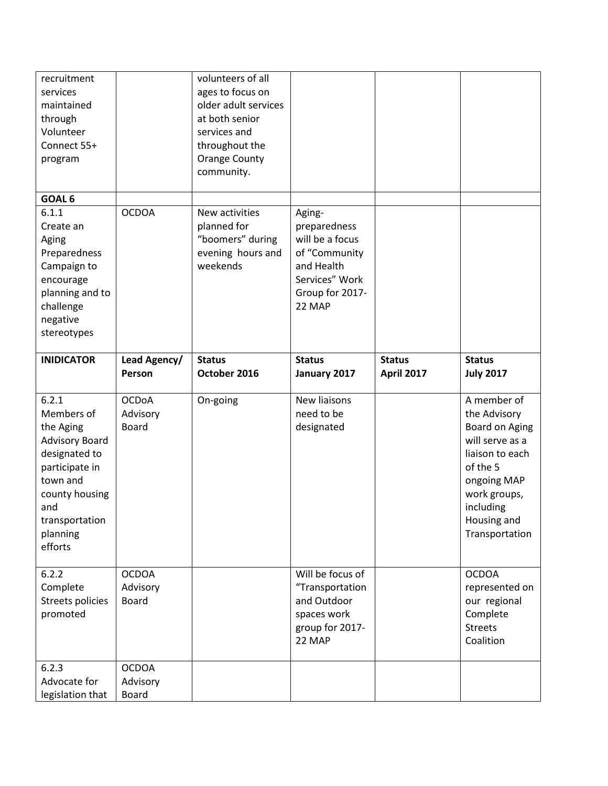| recruitment<br>services<br>maintained<br>through<br>Volunteer<br>Connect 55+<br>program                                                                             |                                          | volunteers of all<br>ages to focus on<br>older adult services<br>at both senior<br>services and<br>throughout the<br><b>Orange County</b><br>community. |                                                                                                                         |                                    |                                                                                                                                                                              |
|---------------------------------------------------------------------------------------------------------------------------------------------------------------------|------------------------------------------|---------------------------------------------------------------------------------------------------------------------------------------------------------|-------------------------------------------------------------------------------------------------------------------------|------------------------------------|------------------------------------------------------------------------------------------------------------------------------------------------------------------------------|
| GOAL 6                                                                                                                                                              |                                          |                                                                                                                                                         |                                                                                                                         |                                    |                                                                                                                                                                              |
| 6.1.1<br>Create an<br>Aging<br>Preparedness<br>Campaign to<br>encourage<br>planning and to<br>challenge<br>negative<br>stereotypes                                  | <b>OCDOA</b>                             | New activities<br>planned for<br>"boomers" during<br>evening hours and<br>weekends                                                                      | Aging-<br>preparedness<br>will be a focus<br>of "Community<br>and Health<br>Services" Work<br>Group for 2017-<br>22 MAP |                                    |                                                                                                                                                                              |
| <b>INIDICATOR</b>                                                                                                                                                   | Lead Agency/<br>Person                   | <b>Status</b><br>October 2016                                                                                                                           | <b>Status</b><br>January 2017                                                                                           | <b>Status</b><br><b>April 2017</b> | <b>Status</b><br><b>July 2017</b>                                                                                                                                            |
| 6.2.1<br>Members of<br>the Aging<br>Advisory Board<br>designated to<br>participate in<br>town and<br>county housing<br>and<br>transportation<br>planning<br>efforts | <b>OCDoA</b><br>Advisory<br><b>Board</b> | On-going                                                                                                                                                | New liaisons<br>need to be<br>designated                                                                                |                                    | A member of<br>the Advisory<br>Board on Aging<br>will serve as a<br>liaison to each<br>of the 5<br>ongoing MAP<br>work groups,<br>including<br>Housing and<br>Transportation |
| 6.2.2<br>Complete<br>Streets policies<br>promoted                                                                                                                   | <b>OCDOA</b><br>Advisory<br><b>Board</b> |                                                                                                                                                         | Will be focus of<br>"Transportation<br>and Outdoor<br>spaces work<br>group for 2017-<br>22 MAP                          |                                    | <b>OCDOA</b><br>represented on<br>our regional<br>Complete<br><b>Streets</b><br>Coalition                                                                                    |
| 6.2.3<br>Advocate for<br>legislation that                                                                                                                           | <b>OCDOA</b><br>Advisory<br><b>Board</b> |                                                                                                                                                         |                                                                                                                         |                                    |                                                                                                                                                                              |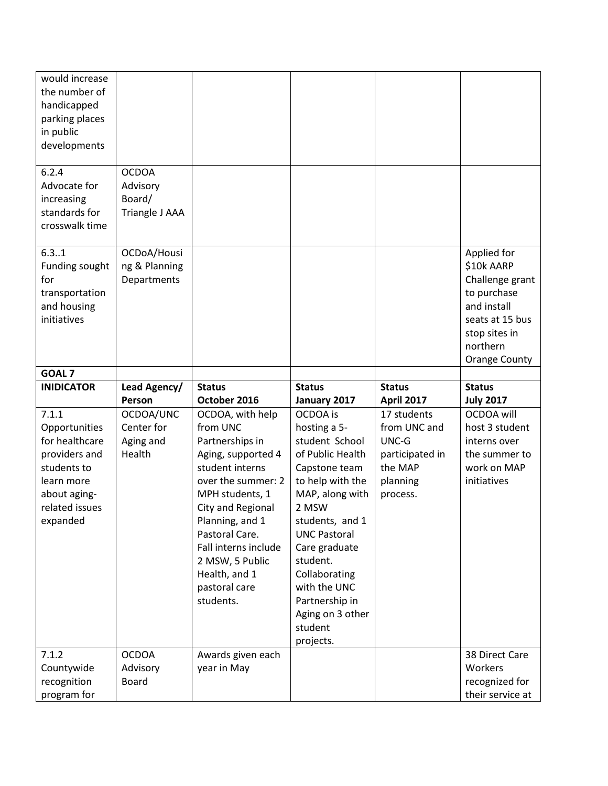| would increase<br>the number of<br>handicapped<br>parking places<br>in public<br>developments                                        |                                                      |                                                                                                                                                                                                                                                                                       |                                                                                                                                                                                                                                                                                                       |                                                                                            |                                                                                                                                                    |
|--------------------------------------------------------------------------------------------------------------------------------------|------------------------------------------------------|---------------------------------------------------------------------------------------------------------------------------------------------------------------------------------------------------------------------------------------------------------------------------------------|-------------------------------------------------------------------------------------------------------------------------------------------------------------------------------------------------------------------------------------------------------------------------------------------------------|--------------------------------------------------------------------------------------------|----------------------------------------------------------------------------------------------------------------------------------------------------|
| 6.2.4<br>Advocate for<br>increasing<br>standards for<br>crosswalk time                                                               | <b>OCDOA</b><br>Advisory<br>Board/<br>Triangle J AAA |                                                                                                                                                                                                                                                                                       |                                                                                                                                                                                                                                                                                                       |                                                                                            |                                                                                                                                                    |
| 6.31<br>Funding sought<br>for<br>transportation<br>and housing<br>initiatives                                                        | OCDoA/Housi<br>ng & Planning<br>Departments          |                                                                                                                                                                                                                                                                                       |                                                                                                                                                                                                                                                                                                       |                                                                                            | Applied for<br>\$10k AARP<br>Challenge grant<br>to purchase<br>and install<br>seats at 15 bus<br>stop sites in<br>northern<br><b>Orange County</b> |
| GOAL <sub>7</sub>                                                                                                                    |                                                      |                                                                                                                                                                                                                                                                                       |                                                                                                                                                                                                                                                                                                       |                                                                                            |                                                                                                                                                    |
|                                                                                                                                      |                                                      |                                                                                                                                                                                                                                                                                       |                                                                                                                                                                                                                                                                                                       |                                                                                            |                                                                                                                                                    |
| <b>INIDICATOR</b>                                                                                                                    | Lead Agency/<br>Person                               | <b>Status</b><br>October 2016                                                                                                                                                                                                                                                         | <b>Status</b><br>January 2017                                                                                                                                                                                                                                                                         | <b>Status</b><br><b>April 2017</b>                                                         | <b>Status</b><br><b>July 2017</b>                                                                                                                  |
| 7.1.1<br>Opportunities<br>for healthcare<br>providers and<br>students to<br>learn more<br>about aging-<br>related issues<br>expanded | OCDOA/UNC<br>Center for<br>Aging and<br>Health       | OCDOA, with help<br>from UNC<br>Partnerships in<br>Aging, supported 4<br>student interns<br>over the summer: 2<br>MPH students, 1<br>City and Regional<br>Planning, and 1<br>Pastoral Care.<br>Fall interns include<br>2 MSW, 5 Public<br>Health, and 1<br>pastoral care<br>students. | OCDOA is<br>hosting a 5-<br>student School<br>of Public Health<br>Capstone team<br>to help with the<br>MAP, along with<br>2 MSW<br>students, and 1<br><b>UNC Pastoral</b><br>Care graduate<br>student.<br>Collaborating<br>with the UNC<br>Partnership in<br>Aging on 3 other<br>student<br>projects. | 17 students<br>from UNC and<br>UNC-G<br>participated in<br>the MAP<br>planning<br>process. | OCDOA will<br>host 3 student<br>interns over<br>the summer to<br>work on MAP<br>initiatives                                                        |